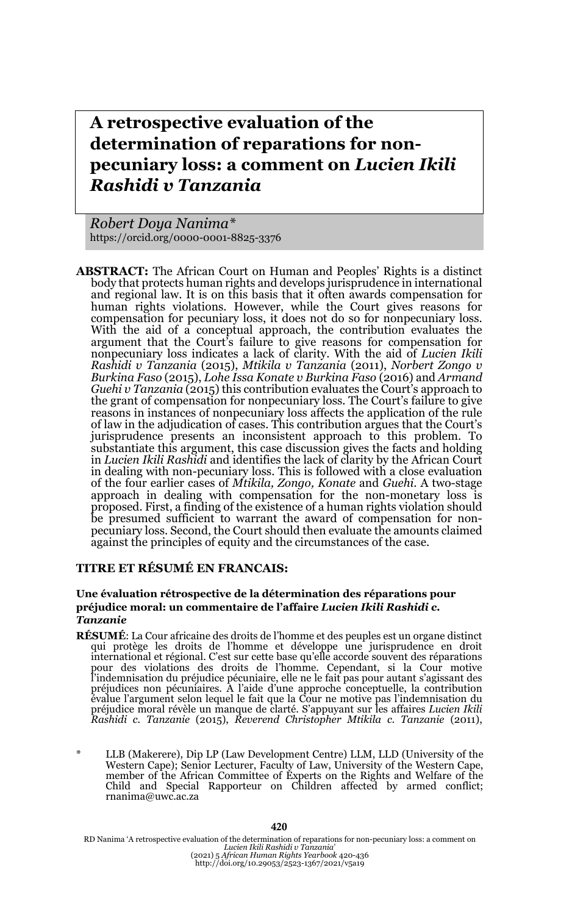# **A retrospective evaluation of the determination of reparations for nonpecuniary loss: a comment on** *Lucien Ikili Rashidi v Tanzania*

*Robert Doya Nanima\** https://orcid.org/0000-0001-8825-3376

**ABSTRACT:** The African Court on Human and Peoples' Rights is a distinct body that protects human rights and develops jurisprudence in international and regional law. It is on this basis that it often awards compensation for human rights violations. However, while the Court gives reasons for compensation for pecuniary loss, it does not do so for nonpecuniary loss. With the aid of a conceptual approach, the contribution evaluates the argument that the Court's failure to give reasons for compensation for nonpecuniary loss indicates a lack of clarity. With the aid of *Lucien Ikili Rashidi v Tanzania* (2015), *Mtikila v Tanzania* (2011), *Norbert Zongo v Burkina Faso* (2015), *Lohe Issa Konate v Burkina Faso* (2016) and *Armand Guehi v Tanzania* (2015) this contribution evaluates the Court's approach to the grant of compensation for nonpecuniary loss. The Court's failure to give reasons in instances of nonpecuniary loss affects the application of the rule of law in the adjudication of cases. This contribution argues that the Court's jurisprudence presents an inconsistent approach to this problem. To substantiate this argument, this case discussion gives the facts and holding in *Lucien Ikili Rashidi* and identifies the lack of clarity by the African Court in dealing with non-pecuniary loss. This is followed with a close evaluation of the four earlier cases of *Mtikila, Zongo, Konate* and *Guehi*. A two-stage approach in dealing with compensation for the non-monetary loss is proposed. First, a finding of the existence of a human rights violation should be presumed sufficient to warrant the award of compensation for nonpecuniary loss. Second, the Court should then evaluate the amounts claimed against the principles of equity and the circumstances of the case.

### **TITRE ET RÉSUMÉ EN FRANCAIS:**

#### **Une évaluation rétrospective de la détermination des réparations pour préjudice moral: un commentaire de l'affaire** *Lucien Ikili Rashidi c. Tanzanie*

- **RÉSUMÉ:** La Cour africaine des droits de l'homme et des peuples est un organe distinct<br>qui protège les droits de l'homme et développe une jurisprudence en droit<br>international et régional. C'est sur cette base qu'elle acco pour des violations des droits de l'homme. Cependant, si la Cour motive<br>l'indemnisation du préjudice pécuniaire, elle ne le fait pas pour autant s'agissant des<br>préjudices non pécuniaires. A l'aide d'une approche conceptuel évalue l'argument selon lequel le fait que la Cour ne motive pas l'indemnisation du préjudice moral révèle un manque de clarté. S'appuyant sur les affaires *Lucien Ikili Rashidi c. Tanzanie* (2015), *Reverend Christopher Mtikila c. Tanzanie* (2011),
- LLB (Makerere), Dip LP (Law Development Centre) LLM, LLD (University of the Western Cape); Senior Lecturer, Faculty of Law, University of the Western Cape, member of the African Committee of Experts on the Rights and Welfare of the Child and Special Rapporteur on Children affected by armed conflict; rnanima@uwc.ac.za

RD Nanima 'A retrospective evaluation of the determination of reparations for non-pecuniary loss: a comment on<br>Lucien Ikili Rashidi v Tanzania'<br>(2021) 5 African Human Rights Yearbook 420-436<br>http://doi.org/10.29053/2523-13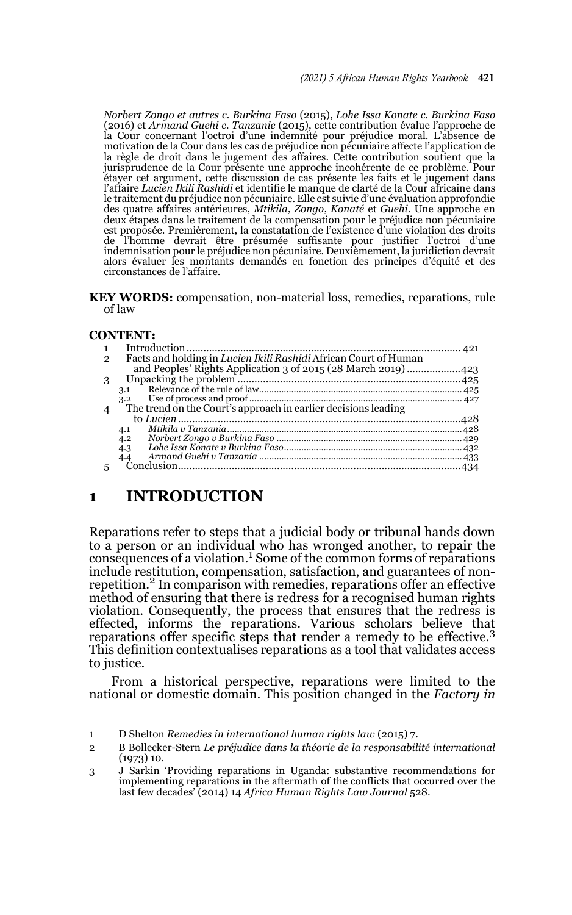*Norbert Zongo et autres c. Burkina Faso* (2015), *Lohe Issa Konate c. Burkina Faso* (2016) et *Armand Guehi c. Tanzanie* (2015), cette contribution évalue l'approche de la Cour concernant l'octroi d'une indemnité pour préjudice moral. L'absence de motivation de la Cour dans les cas de préjudice non pécuniaire affecte l'application de la règle de droit dans le jugement des affaires. Cette contribution soutient que la jurisprudence de la Cour présente une approche incohérente de ce problème. Pour étayer cet argument, cette discussion de cas présente les faits et le jugement dans l'affaire *Lucien Ikili Rashidi* et identifie le manque de clarté de la Cour africaine dans le traitement du préjudice non pécuniaire. Elle est suivie d'une évaluation approfondie des quatre affaires antérieures, *Mtikila*, *Zongo*, *Konaté* et *Guehi*. Une approche en deux étapes dans le traitement de la compensation pour le préjudice non pécuniaire est proposée. Premièrement, la constatation de l'existence d'une violation des droits de l'homme devrait être présumée suffisante pour justifier l'octroi d'une indemnisation pour le préjudice non pécuniaire. Deuxièmement, la juridiction devrait alors évaluer les montants demandés en fonction des principes d'équité et des circonstances de l'affaire.

**KEY WORDS:** compensation, non-material loss, remedies, reparations, rule of law

#### **CONTENT:**

| $\overline{2}$ | Facts and holding in <i>Lucien Ikili Rashidi</i> African Court of Human |  |
|----------------|-------------------------------------------------------------------------|--|
|                | and Peoples' Rights Application 3 of 2015 (28 March 2019) 423           |  |
| 3              |                                                                         |  |
|                | 3.1                                                                     |  |
|                | 3.2                                                                     |  |
| $\overline{4}$ |                                                                         |  |
|                |                                                                         |  |
|                | 4.1                                                                     |  |
|                | 4.2                                                                     |  |
|                | 4.3                                                                     |  |
|                | 4.4                                                                     |  |
|                |                                                                         |  |
|                |                                                                         |  |

### **1 INTRODUCTION**

Reparations refer to steps that a judicial body or tribunal hands down to a person or an individual who has wronged another, to repair the  $\frac{1}{2}$  consequences of a violation.<sup>1</sup> Some of the common forms of reparations include restitution, compensation, satisfaction, and guarantees of nonrepetition.<sup>2</sup> In comparison with remedies, reparations offer an effective method of ensuring that there is redress for a recognised human rights violation. Consequently, the process that ensures that the redress is effected, informs the reparations. Various scholars believe that reparations offer specific steps that render a remedy to be effective.<sup>3</sup> This definition contextualises reparations as a tool that validates access to justice.

From a historical perspective, reparations were limited to the national or domestic domain. This position changed in the *Factory in*

<sup>1</sup> D Shelton *Remedies in international human rights law* (2015) 7.

<sup>2</sup> B Bollecker-Stern *Le préjudice dans la théorie de la responsabilité international* (1973) 10.

<sup>3</sup> J Sarkin 'Providing reparations in Uganda: substantive recommendations for implementing reparations in the aftermath of the conflicts that occurred over the last few decades' (2014) 14 *Africa Human Rights Law Journal* 528.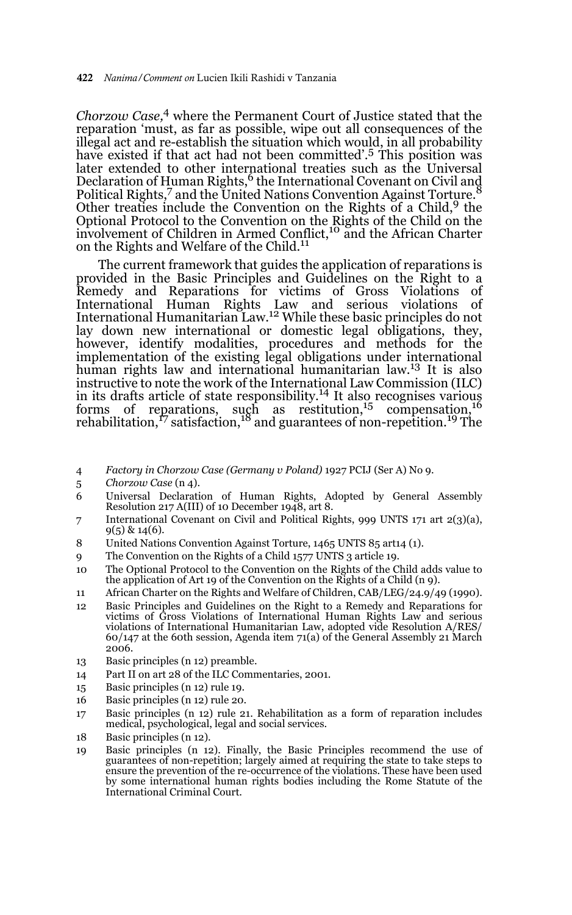*Chorzow Case,*4 where the Permanent Court of Justice stated that the reparation 'must, as far as possible, wipe out all consequences of the illegal act and re-establish the situation which would, in all probability have existed if that act had not been committed'.<sup>5</sup> This position was later extended to other international treaties such as the Universal Declaration of Human Rights,<sup>6</sup> the International Covenant on Civil and Political Rights,<sup>7</sup> and the United Nations Convention Against Torture. Other treaties include the Convention on the Rights of a Child,  $9$  the Optional Protocol to the Convention on the Rights of the Child on the involvement of Children in Armed Conflict,<sup>10</sup> and the African Charter on the Rights and Welfare of the Child.<sup>11</sup>

The current framework that guides the application of reparations is provided in the Basic Principles and Guidelines on the Right to a Remedy and Reparations for victims of Gross Violations of International Human Rights Law and serious violations of International Humanitarian Law.12 While these basic principles do not lay down new international or domestic legal obligations, they, however, identify modalities, procedures and methods for the implementation of the existing legal obligations under international human rights law and international humanitarian law.<sup>13</sup> It is also instructive to note the work of the International Law Commission (ILC) in its drafts article of state responsibility.<sup>14</sup> It also recognises various forms of reparations, such as restitution,  $^{15}$  compensation,  $^{16}$ rehabilitation,<sup>17</sup> satisfaction,<sup>18</sup> and guarantees of non-repetition.<sup>19</sup> The

- 4 *Factory in Chorzow Case (Germany v Poland)* 1927 PCIJ (Ser A) No 9.
- 5 *Chorzow Case* (n 4).
- 6 Universal Declaration of Human Rights, Adopted by General Assembly Resolution 217 A(III) of 10 December 1948, art 8.
- 7 International Covenant on Civil and Political Rights, 999 UNTS 171 art 2(3)(a),  $9(5)$  & 14(6).
- 8 United Nations Convention Against Torture, 1465 UNTS 85 art14 (1).
- 9 The Convention on the Rights of a Child 1577 UNTS 3 article 19.
- 10 The Optional Protocol to the Convention on the Rights of the Child adds value to the application of Art 19 of the Convention on the Rights of a Child (n 9).
- 11 African Charter on the Rights and Welfare of Children, CAB/LEG/24.9/49 (1990).
- 12 Basic Principles and Guidelines on the Right to a Remedy and Reparations for victims of Gross Violations of International Human Rights Law and serious violations of International Humanitarian Law, adopted vide Resolution A/RES/  $60/147$  at the 60th session, Agenda item 71(a) of the General Assembly 21 March 2006.
- 13 Basic principles (n 12) preamble.
- 14 Part II on art 28 of the ILC Commentaries, 2001.
- 15 Basic principles (n 12) rule 19.
- 16 Basic principles (n 12) rule 20.
- 17 Basic principles (n 12) rule 21. Rehabilitation as a form of reparation includes medical, psychological, legal and social services.
- 18 Basic principles (n 12).
- 19 Basic principles (n 12). Finally, the Basic Principles recommend the use of guarantees of non-repetition; largely aimed at requiring the state to take steps to ensure the prevention of the re-occurrence of the violations. These have been used by some international human rights bodies including the Rome Statute of the International Criminal Court.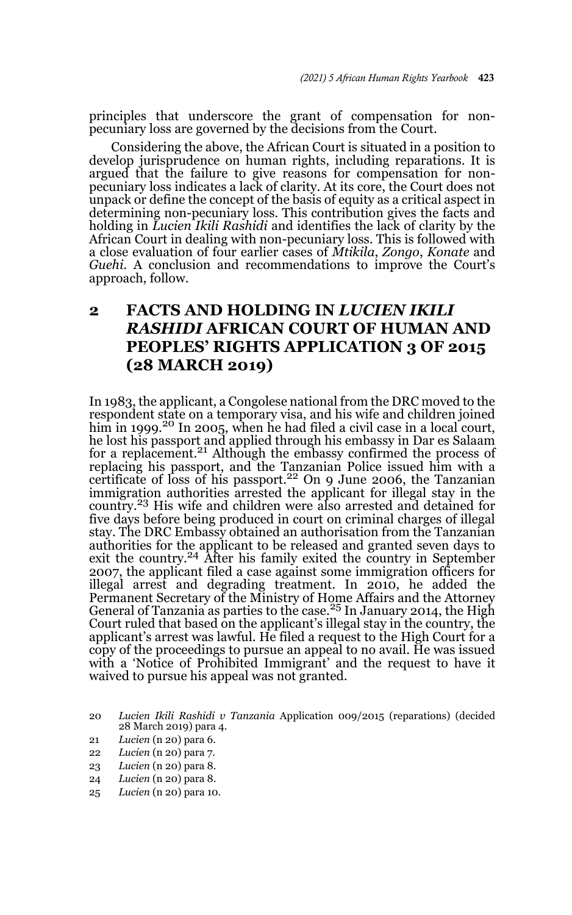principles that underscore the grant of compensation for nonpecuniary loss are governed by the decisions from the Court.

Considering the above, the African Court is situated in a position to develop jurisprudence on human rights, including reparations. It is argued that the failure to give reasons for compensation for nonpecuniary loss indicates a lack of clarity. At its core, the Court does not unpack or define the concept of the basis of equity as a critical aspect in determining non-pecuniary loss. This contribution gives the facts and holding in *Lucien Ikili Rashidi* and identifies the lack of clarity by the African Court in dealing with non-pecuniary loss. This is followed with a close evaluation of four earlier cases of *Mtikila*, *Zongo*, *Konate* and *Guehi*. A conclusion and recommendations to improve the Court's approach, follow.

## **2 FACTS AND HOLDING IN** *LUCIEN IKILI RASHIDI* **AFRICAN COURT OF HUMAN AND PEOPLES' RIGHTS APPLICATION 3 OF 2015 (28 MARCH 2019)**

In 1983, the applicant, a Congolese national from the DRC moved to the respondent state on a temporary visa, and his wife and children joined him in 1999.<sup>20</sup> In 2005, when he had filed a civil case in a local court, he lost his passport and applied through his embassy in Dar es Salaam for a replacement.<sup>21</sup> Although the embassy confirmed the process of replacing his passport, and the Tanzanian Police issued him with a certificate of loss of his passport.<sup>22</sup> On 9 June 2006, the Tanzanian immigration authorities arrested the applicant for illegal stay in the country.<sup>23</sup> His wife and children were also arrested and detained for five days before being produced in court on criminal charges of illegal stay. The DRC Embassy obtained an authorisation from the Tanzanian authorities for the applicant to be released and granted seven days to exit the country.<sup>24</sup> After his family exited the country in September 2007, the applicant filed a case against some immigration officers for illegal arrest and degrading treatment. In 2010, he added the Permanent Secretary of the Ministry of Home Affairs and the Attorney<br>General of Tanzania as parties to the case.<sup>25</sup> In January 2014, the High Court ruled that based on the applicant's illegal stay in the country, the applicant's arrest was lawful. He filed a request to the High Court for a copy of the proceedings to pursue an appeal to no avail. He was issued with a 'Notice of Prohibited Immigrant' and the request to have it waived to pursue his appeal was not granted.

- 21 *Lucien* (n 20) para 6.
- 22 *Lucien* (n 20) para 7.
- 23 *Lucien* (n 20) para 8.
- 24 *Lucien* (n 20) para 8.
- 25 *Lucien* (n 20) para 10.

<sup>20</sup> *Lucien Ikili Rashidi v Tanzania* Application 009/2015 (reparations) (decided 28 March 2019) para 4.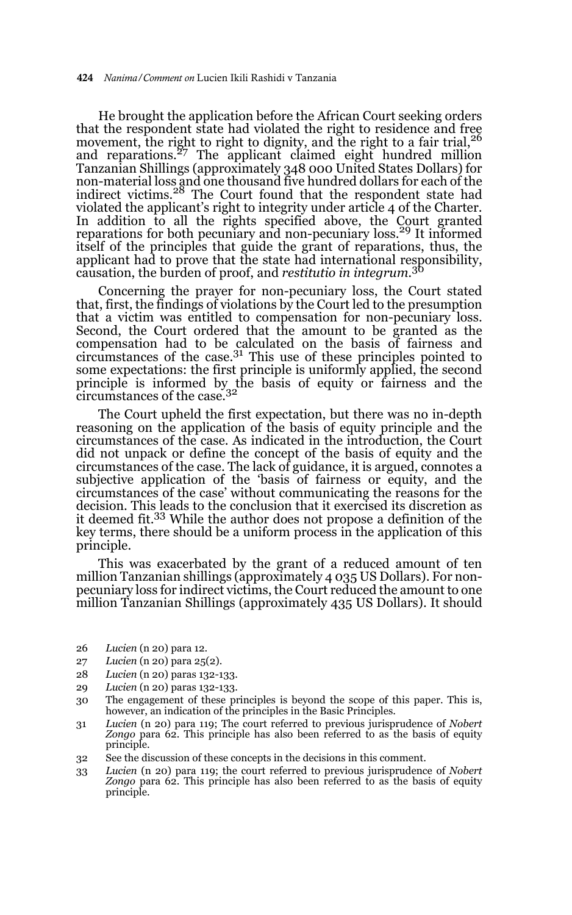He brought the application before the African Court seeking orders that the respondent state had violated the right to residence and free movement, the right to right to dignity, and the right to a fair trial, <sup>26</sup> movement, the right to right to dignity, and the right to a fair trial, <sup>26</sup> and reparations.<sup>27</sup> The applicant claimed eight hundred million Tanzanian Shillings (approximately 348 000 United States Dollars) for non-material loss and one thousand five hundred dollars for each of the indirect victims.28 The Court found that the respondent state had violated the applicant's right to integrity under article 4 of the Charter. In addition to all the rights specified above, the Court granted reparations for both pecuniary and non-pecuniary loss.29 It informed itself of the principles that guide the grant of reparations, thus, the applicant had to prove that the state had international responsibility, causation, the burden of proof, and *restitutio in integrum.*<sup>30</sup>

Concerning the prayer for non-pecuniary loss, the Court stated that, first, the findings of violations by the Court led to the presumption that a victim was entitled to compensation for non-pecuniary loss. Second, the Court ordered that the amount to be granted as the compensation had to be calculated on the basis of fairness and circumstances of the case.31 This use of these principles pointed to some expectations: the first principle is uniformly applied, the second principle is informed by the basis of equity or fairness and the circumstances of the case.<sup>32</sup>

The Court upheld the first expectation, but there was no in-depth reasoning on the application of the basis of equity principle and the circumstances of the case. As indicated in the introduction, the Court did not unpack or define the concept of the basis of equity and the circumstances of the case. The lack of guidance, it is argued, connotes a subjective application of the 'basis of fairness or equity, and the circumstances of the case' without communicating the reasons for the decision. This leads to the conclusion that it exercised its discretion as it deemed fit.33 While the author does not propose a definition of the key terms, there should be a uniform process in the application of this principle.

This was exacerbated by the grant of a reduced amount of ten million Tanzanian shillings (approximately 4 035 US Dollars). For nonpecuniary loss for indirect victims, the Court reduced the amount to one million Tanzanian Shillings (approximately 435 US Dollars). It should

- 26 *Lucien* (n 20) para 12.
- 27 *Lucien* (n 20) para 25(2).
- 28 *Lucien* (n 20) paras 132-133.
- 29 *Lucien* (n 20) paras 132-133.
- 30 The engagement of these principles is beyond the scope of this paper. This is, however, an indication of the principles in the Basic Principles.
- 31 *Lucien* (n 20) para 119; The court referred to previous jurisprudence of *Nobert Zongo* para 62. This principle has also been referred to as the basis of equity principle.
- 32 See the discussion of these concepts in the decisions in this comment.
- 33 *Lucien* (n 20) para 119; the court referred to previous jurisprudence of *Nobert Zongo* para 62. This principle has also been referred to as the basis of equity principle.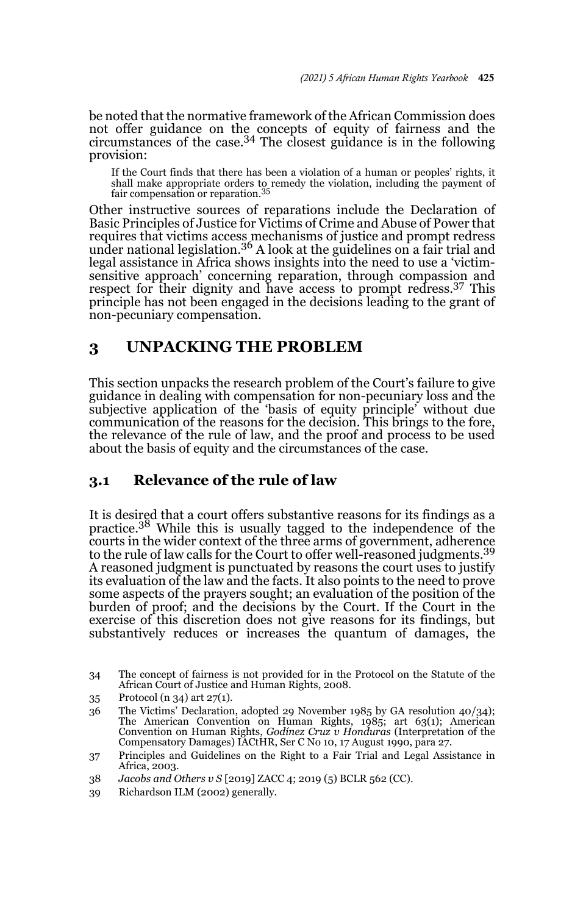be noted that the normative framework of the African Commission does not offer guidance on the concepts of equity of fairness and the circumstances of the case.<sup>34</sup> The closest guidance is in the following provision:

If the Court finds that there has been a violation of a human or peoples' rights, it shall make appropriate orders to remedy the violation, including the payment of fair compensation or reparation.<sup>35</sup>

Other instructive sources of reparations include the Declaration of Basic Principles of Justice for Victims of Crime and Abuse of Power that requires that victims access mechanisms of justice and prompt redress under national legislation.<sup>36</sup> A look at the guidelines on a fair trial and legal assistance in Africa shows insights into the need to use a 'victimsensitive approach' concerning reparation, through compassion and respect for their dignity and have access to prompt redress.37 This principle has not been engaged in the decisions leading to the grant of non-pecuniary compensation.

### **3 UNPACKING THE PROBLEM**

This section unpacks the research problem of the Court's failure to give guidance in dealing with compensation for non-pecuniary loss and the subjective application of the 'basis of equity principle' without due communication of the reasons for the decision. This brings to the fore, the relevance of the rule of law, and the proof and process to be used about the basis of equity and the circumstances of the case.

### **3.1 Relevance of the rule of law**

It is desired that a court offers substantive reasons for its findings as a practice.38 While this is usually tagged to the independence of the courts in the wider context of the three arms of government, adherence to the rule of law calls for the Court to offer well-reasoned judgments.<sup>39</sup> A reasoned judgment is punctuated by reasons the court uses to justify its evaluation of the law and the facts. It also points to the need to prove some aspects of the prayers sought; an evaluation of the position of the burden of proof; and the decisions by the Court. If the Court in the exercise of this discretion does not give reasons for its findings, but substantively reduces or increases the quantum of damages, the

35 Protocol (n 34) art 27(1).

<sup>34</sup> The concept of fairness is not provided for in the Protocol on the Statute of the African Court of Justice and Human Rights, 2008.

<sup>36</sup> The Victims' Declaration, adopted 29 November 1985 by GA resolution 40/34); The American Convention on Human Rights, 1985; art 63(1); American Convention on Human Rights, *Godínez Cruz v Honduras* (Interpretation of the Compensatory Damages) IACtHR, Ser C No 10, 17 August 1990, para 27.

<sup>37</sup> Principles and Guidelines on the Right to a Fair Trial and Legal Assistance in Africa, 2003.

<sup>38</sup> *Jacobs and Others v S* [2019] ZACC 4; 2019 (5) BCLR 562 (CC).

<sup>39</sup> Richardson ILM (2002) generally.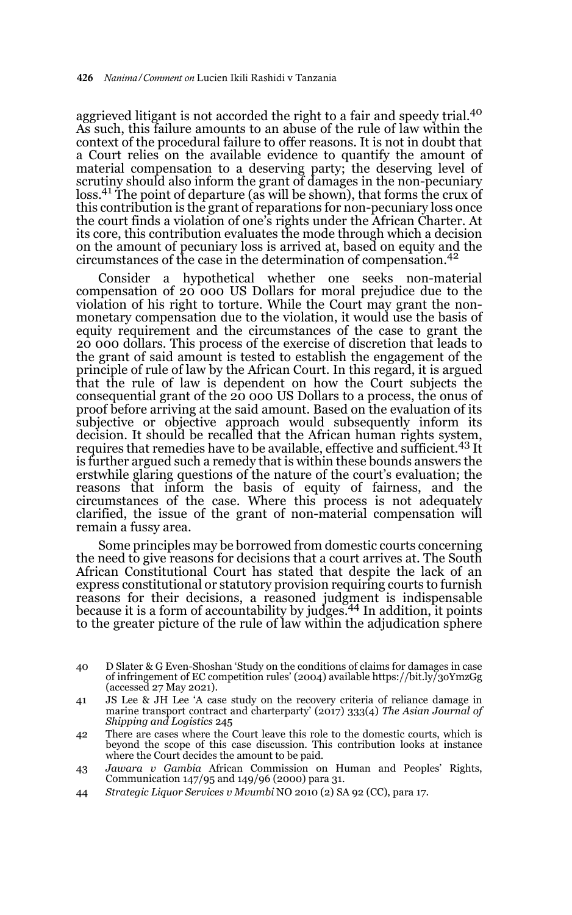aggrieved litigant is not accorded the right to a fair and speedy trial.<sup>40</sup> As such, this failure amounts to an abuse of the rule of law within the context of the procedural failure to offer reasons. It is not in doubt that a Court relies on the available evidence to quantify the amount of material compensation to a deserving party; the deserving level of scrutiny should also inform the grant of damages in the non-pecuniary loss.<sup>41</sup> The point of departure (as will be shown), that forms the crux of this contribution is the grant of reparations for non-pecuniary loss once the court finds a violation of one's rights under the African Charter. At its core, this contribution evaluates the mode through which a decision on the amount of pecuniary loss is arrived at, based on equity and the circumstances of the case in the determination of compensation.<sup>42</sup>

Consider a hypothetical whether one seeks non-material compensation of 20 000 US Dollars for moral prejudice due to the violation of his right to torture. While the Court may grant the nonmonetary compensation due to the violation, it would use the basis of equity requirement and the circumstances of the case to grant the 20 000 dollars. This process of the exercise of discretion that leads to the grant of said amount is tested to establish the engagement of the principle of rule of law by the African Court. In this regard, it is argued that the rule of law is dependent on how the Court subjects the consequential grant of the 20 000 US Dollars to a process, the onus of proof before arriving at the said amount. Based on the evaluation of its subjective or objective approach would subsequently inform its decision. It should be recalled that the African human rights system, requires that remedies have to be available, effective and sufficient.<sup>43</sup> It is further argued such a remedy that is within these bounds answers the erstwhile glaring questions of the nature of the court's evaluation; the reasons that inform the basis of equity of fairness, and the circumstances of the case. Where this process is not adequately clarified, the issue of the grant of non-material compensation will remain a fussy area.

Some principles may be borrowed from domestic courts concerning the need to give reasons for decisions that a court arrives at. The South African Constitutional Court has stated that despite the lack of an express constitutional or statutory provision requiring courts to furnish reasons for their decisions, a reasoned judgment is indispensable because it is a form of accountability by judges.44 In addition, it points to the greater picture of the rule of law within the adjudication sphere

- 40 D Slater & G Even-Shoshan 'Study on the conditions of claims for damages in case of infringement of EC competition rules' (2004) available https://bit.ly/3oYmzGg (accessed 27 May 2021).
- 41 JS Lee & JH Lee 'A case study on the recovery criteria of reliance damage in marine transport contract and charterparty' (2017) 333(4) *The Asian Journal of Shipping and Logistics* 245
- 42 There are cases where the Court leave this role to the domestic courts, which is beyond the scope of this case discussion. This contribution looks at instance where the Court decides the amount to be paid.
- 43 *Jawara v Gambia* African Commission on Human and Peoples' Rights, Communication 147/95 and 149/96 (2000) para 31.
- 44 *Strategic Liquor Services v Mvumbi* NO 2010 (2) SA 92 (CC), para 17.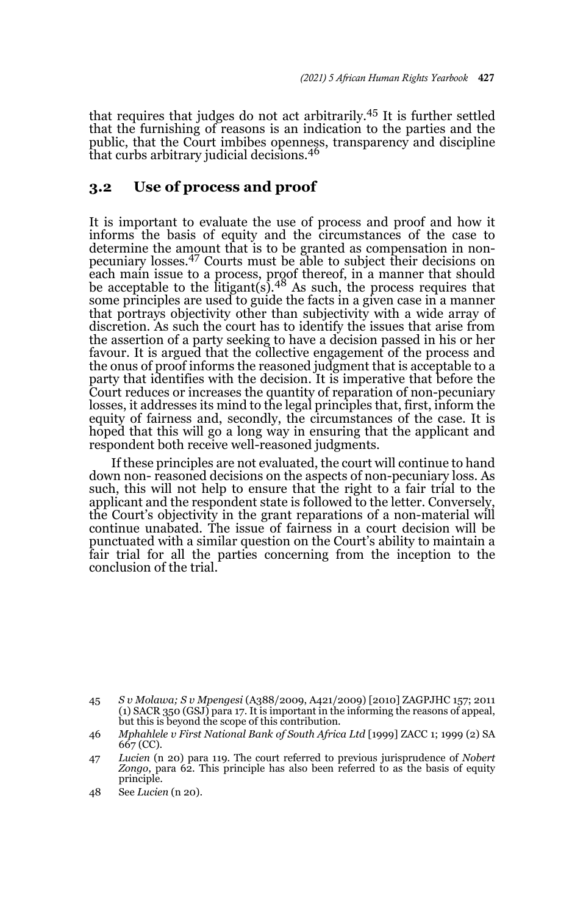that requires that judges do not act arbitrarily.45 It is further settled that the furnishing of reasons is an indication to the parties and the public, that the Court imbibes openness, transparency and discipline that curbs arbitrary judicial decisions.<sup>46</sup>

#### **3.2 Use of process and proof**

It is important to evaluate the use of process and proof and how it informs the basis of equity and the circumstances of the case to determine the amount that is to be granted as compensation in nonpecuniary losses.<sup>47</sup> Courts must be able to subject their decisions on each main issue to a process, proof thereof, in a manner that should<br>be acceptable to the litigant(s).<sup>48</sup> As such, the process requires that some principles are used to guide the facts in a given case in a manner that portrays objectivity other than subjectivity with a wide array of discretion. As such the court has to identify the issues that arise from the assertion of a party seeking to have a decision passed in his or her favour. It is argued that the collective engagement of the process and the onus of proof informs the reasoned judgment that is acceptable to a party that identifies with the decision. It is imperative that before the Court reduces or increases the quantity of reparation of non-pecuniary losses, it addresses its mind to the legal principles that, first, inform the equity of fairness and, secondly, the circumstances of the case. It is hoped that this will go a long way in ensuring that the applicant and respondent both receive well-reasoned judgments.

If these principles are not evaluated, the court will continue to hand down non- reasoned decisions on the aspects of non-pecuniary loss. As such, this will not help to ensure that the right to a fair trial to the applicant and the respondent state is followed to the letter. Conversely, the Court's objectivity in the grant reparations of a non-material will continue unabated. The issue of fairness in a court decision will be punctuated with a similar question on the Court's ability to maintain a fair trial for all the parties concerning from the inception to the conclusion of the trial.

<sup>45</sup> *S v Molawa; S v Mpengesi* (A388/2009, A421/2009) [2010] ZAGPJHC 157; 2011 (1) SACR 350 (GSJ) para 17. It is important in the informing the reasons of appeal, but this is beyond the scope of this contribution.

<sup>46</sup> *Mphahlele v First National Bank of South Africa Ltd* [1999] ZACC 1; 1999 (2) SA 667 (CC).

<sup>47</sup> *Lucien* (n 20) para 119. The court referred to previous jurisprudence of *Nobert Zongo*, para 62. This principle has also been referred to as the basis of equity principle.

<sup>48</sup> See *Lucien* (n 20).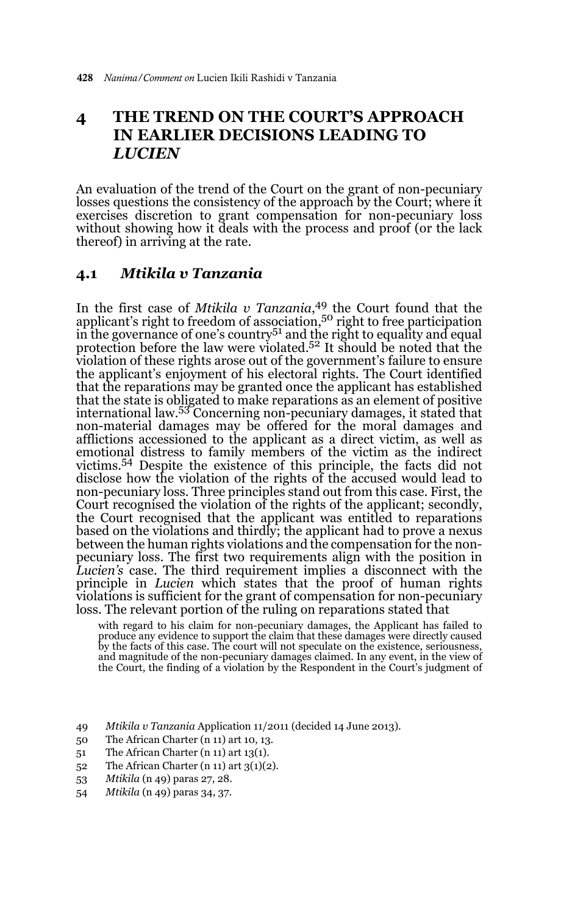## **4 THE TREND ON THE COURT'S APPROACH IN EARLIER DECISIONS LEADING TO**  *LUCIEN*

An evaluation of the trend of the Court on the grant of non-pecuniary losses questions the consistency of the approach by the Court; where it exercises discretion to grant compensation for non-pecuniary loss without showing how it deals with the process and proof (or the lack thereof) in arriving at the rate.

#### **4.1** *Mtikila v Tanzania*

In the first case of *Mtikila v Tanzania*, 49 the Court found that the applicant's right to freedom of association,<sup>50</sup> right to free participation in the governance of one's country<sup>51</sup> and the right to equality and equal  $\frac{1}{2}$ protection before the law were violated.<sup>52</sup> It should be noted that the violation of these rights arose out of the government's failure to ensure the applicant's enjoyment of his electoral rights. The Court identified that the reparations may be granted once the applicant has established that the state is obligated to make reparations as an element of positive international law.53 Concerning non-pecuniary damages, it stated that non-material damages may be offered for the moral damages and afflictions accessioned to the applicant as a direct victim, as well as emotional distress to family members of the victim as the indirect victims.54 Despite the existence of this principle, the facts did not disclose how the violation of the rights of the accused would lead to non-pecuniary loss. Three principles stand out from this case. First, the Court recognised the violation of the rights of the applicant; secondly, the Court recognised that the applicant was entitled to reparations based on the violations and thirdly; the applicant had to prove a nexus between the human rights violations and the compensation for the nonpecuniary loss. The first two requirements align with the position in *Lucien's* case. The third requirement implies a disconnect with the principle in *Lucien* which states that the proof of human rights violations is sufficient for the grant of compensation for non-pecuniary loss. The relevant portion of the ruling on reparations stated that

with regard to his claim for non-pecuniary damages, the Applicant has failed to produce any evidence to support the claim that these damages were directly caused by the facts of this case. The court will not speculate on the existence, seriousness, and magnitude of the non-pecuniary damages claimed. In any event, in the view of the Court, the finding of a violation by the Respondent in the Court's judgment of

- 49 *Mtikila v Tanzania* Application 11/2011 (decided 14 June 2013).
- 50 The African Charter (n 11) art 10, 13.
- 51 The African Charter (n 11) art 13(1).
- 52 The African Charter (n 11) art  $3(1)(2)$ .
- 53 *Mtikila* (n 49) paras 27, 28.
- 54 *Mtikila* (n 49) paras 34, 37.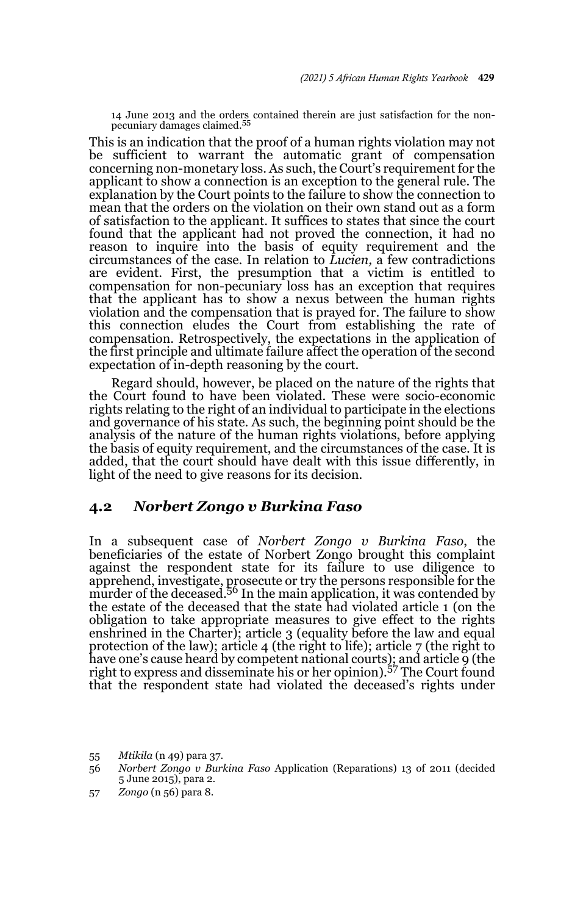14 June 2013 and the orders contained therein are just satisfaction for the non-pecuniary damages claimed.<sup>55</sup>

This is an indication that the proof of a human rights violation may not be sufficient to warrant the automatic grant of compensation concerning non-monetary loss. As such, the Court's requirement for the applicant to show a connection is an exception to the general rule. The explanation by the Court points to the failure to show the connection to mean that the orders on the violation on their own stand out as a form of satisfaction to the applicant. It suffices to states that since the court found that the applicant had not proved the connection, it had no reason to inquire into the basis of equity requirement and the circumstances of the case. In relation to *Lucien,* a few contradictions are evident. First, the presumption that a victim is entitled to compensation for non-pecuniary loss has an exception that requires that the applicant has to show a nexus between the human rights violation and the compensation that is prayed for. The failure to show this connection eludes the Court from establishing the rate of compensation. Retrospectively, the expectations in the application of the first principle and ultimate failure affect the operation of the second expectation of in-depth reasoning by the court.

Regard should, however, be placed on the nature of the rights that the Court found to have been violated. These were socio-economic rights relating to the right of an individual to participate in the elections and governance of his state. As such, the beginning point should be the analysis of the nature of the human rights violations, before applying the basis of equity requirement, and the circumstances of the case. It is added, that the court should have dealt with this issue differently, in light of the need to give reasons for its decision.

#### **4.2** *Norbert Zongo v Burkina Faso*

In a subsequent case of *Norbert Zongo v Burkina Faso*, the beneficiaries of the estate of Norbert Zongo brought this complaint against the respondent state for its failure to use diligence to apprehend, investigate, prosecute or try the persons responsible for the<br>murder of the deceased.<sup>56</sup> In the main application, it was contended by the estate of the deceased that the state had violated article 1 (on the obligation to take appropriate measures to give effect to the rights enshrined in the Charter); article 3 (equality before the law and equal protection of the law); article 4 (the right to life); article 7 (the right to have one's cause heard by competent national courts); and article 9 (the right to express and disseminate his or her opinion).57 The Court found that the respondent state had violated the deceased's rights under

55 *Mtikila* (n 49) para 37.

57 *Zongo* (n 56) para 8.

<sup>56</sup> *Norbert Zongo v Burkina Faso* Application (Reparations) 13 of 2011 (decided 5 June 2015), para 2.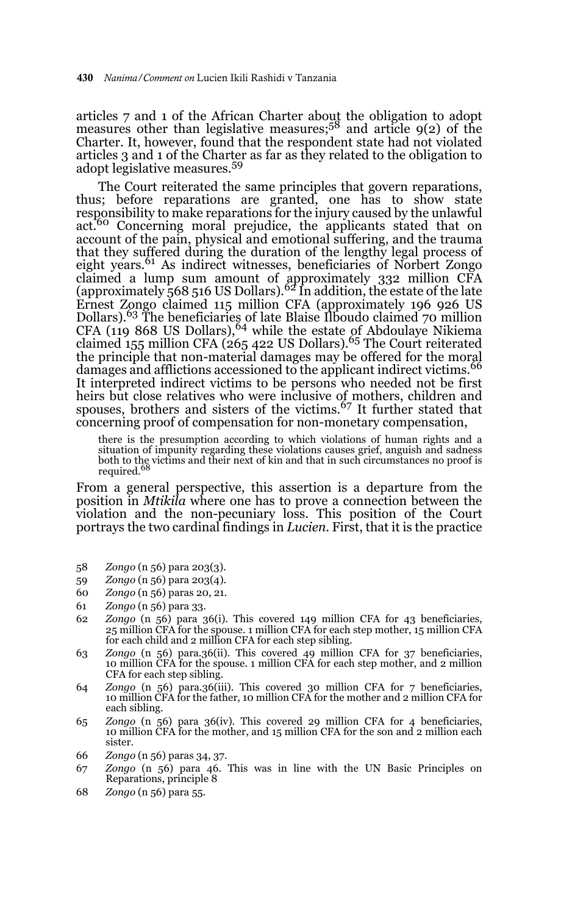articles 7 and 1 of the African Charter about the obligation to adopt measures other than legislative measures;58 and article 9(2) of the Charter. It, however, found that the respondent state had not violated articles 3 and 1 of the Charter as far as they related to the obligation to adopt legislative measures.<sup>59</sup>

The Court reiterated the same principles that govern reparations, thus; before reparations are granted, one has to show state responsibility to make reparations for the injury caused by the unlawful act.<sup>60</sup> Concerning moral prejudice, the applicants stated that on account of the pain, physical and emotional suffering, and the trauma that they suffered during the duration of the lengthy legal process of eight years.<sup>61</sup> As indirect witnesses, beneficiaries of Norbert Zongo claimed a lump sum amount of approximately 332 million CFA<br>(approximately 568 516 US Dollars).<sup>62</sup> In addition, the estate of the late Ernest Zongo claimed 115 million CFA (approximately 196 926 US Dollars).63 The beneficiaries of late Blaise Ilboudo claimed 70 million CFA (119 868 US Dollars),  $64$  while the estate of Abdoulaye Nikiema claimed 155 million CFA (265 422 US Dollars).<sup>65</sup> The Court reiterated the principle that non-material damages may be offered for the moral damages and afflictions accessioned to the applicant indirect victims.<sup>66</sup> It interpreted indirect victims to be persons who needed not be first heirs but close relatives who were inclusive of mothers, children and spouses, brothers and sisters of the victims.<sup>67</sup> It further stated that concerning proof of compensation for non-monetary compensation,

there is the presumption according to which violations of human rights and a situation of impunity regarding these violations causes grief, anguish and sadness both to the victims and their next of kin and that in such circumstances no proof is<br>required.<sup>68</sup>

From a general perspective, this assertion is a departure from the position in *Mtikila* where one has to prove a connection between the violation and the non-pecuniary loss. This position of the Court portrays the two cardinal findings in *Lucien*. First, that it is the practice

- 58 *Zongo* (n 56) para 203(3).
- 59 *Zongo* (n 56) para 203(4).
- 60 *Zongo* (n 56) paras 20, 21.
- 61 *Zongo* (n 56) para 33.
- 62 *Zongo* (n 56) para 36(i). This covered 149 million CFA for 43 beneficiaries, 25 million CFA for the spouse. 1 million CFA for each step mother, 15 million CFA for each child and 2 million CFA for each step sibling.
- 63 *Zongo* (n 56) para.36(ii). This covered 49 million CFA for 37 beneficiaries, 10 million CFA for the spouse. 1 million CFA for each step mother, and 2 million CFA for each step sibling.
- 64 *Zongo* (n 56) para.36(iii). This covered 30 million CFA for 7 beneficiaries, 10 million CFA for the father, 10 million CFA for the mother and 2 million CFA for each sibling.
- 65 *Zongo* (n 56) para 36(iv). This covered 29 million CFA for 4 beneficiaries, 10 million CFA for the mother, and 15 million CFA for the son and 2 million each sister.
- 66 *Zongo* (n 56) paras 34, 37.
- 67 *Zongo* (n 56) para 46. This was in line with the UN Basic Principles on Reparations, principle 8
- 68 *Zongo* (n 56) para 55.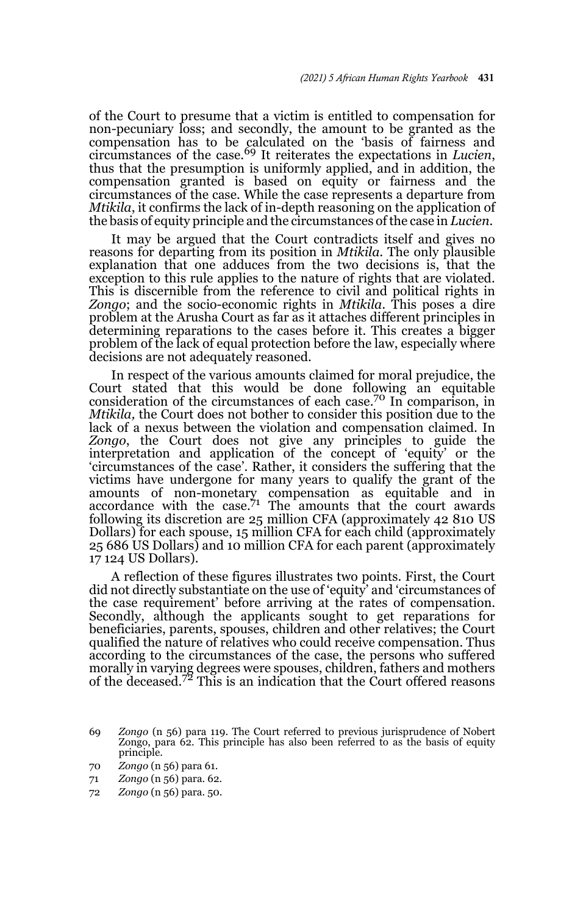of the Court to presume that a victim is entitled to compensation for non-pecuniary loss; and secondly, the amount to be granted as the compensation has to be calculated on the 'basis of fairness and circumstances of the case.69 It reiterates the expectations in *Lucien*, thus that the presumption is uniformly applied, and in addition, the compensation granted is based on equity or fairness and the circumstances of the case. While the case represents a departure from *Mtikila*, it confirms the lack of in-depth reasoning on the application of the basis of equity principle and the circumstances of the case in *Lucien*.

It may be argued that the Court contradicts itself and gives no reasons for departing from its position in *Mtikila.* The only plausible explanation that one adduces from the two decisions is, that the exception to this rule applies to the nature of rights that are violated. This is discernible from the reference to civil and political rights in *Zongo*; and the socio-economic rights in *Mtikila.* This poses a dire problem at the Arusha Court as far as it attaches different principles in determining reparations to the cases before it. This creates a bigger problem of the lack of equal protection before the law, especially where decisions are not adequately reasoned.

In respect of the various amounts claimed for moral prejudice, the Court stated that this would be done following an equitable consideration of the circumstances of each case.70 In comparison, in *Mtikila,* the Court does not bother to consider this position due to the lack of a nexus between the violation and compensation claimed. In *Zongo*, the Court does not give any principles to guide the interpretation and application of the concept of 'equity' or the 'circumstances of the case'. Rather, it considers the suffering that the victims have undergone for many years to qualify the grant of the amounts of non-monetary compensation as equitable and in accordance with the case.<sup>71</sup> The amounts that the court awards following its discretion are 25 million CFA (approximately 42 810 US Dollars) for each spouse, 15 million CFA for each child (approximately 25 686 US Dollars) and 10 million CFA for each parent (approximately 17 124 US Dollars).

A reflection of these figures illustrates two points. First, the Court did not directly substantiate on the use of 'equity' and 'circumstances of the case requirement' before arriving at the rates of compensation. Secondly, although the applicants sought to get reparations for beneficiaries, parents, spouses, children and other relatives; the Court qualified the nature of relatives who could receive compensation. Thus according to the circumstances of the case, the persons who suffered morally in varying degrees were spouses, children, fathers and mothers<br>of the deceased.<sup>72</sup> This is an indication that the Court offered reasons

<sup>69</sup> *Zongo* (n 56) para 119. The Court referred to previous jurisprudence of Nobert Zongo, para 62. This principle has also been referred to as the basis of equity principle.

<sup>70</sup> *Zongo* (n 56) para 61.

<sup>71</sup> *Zongo* (n 56) para. 62.

<sup>72</sup> *Zongo* (n 56) para. 50.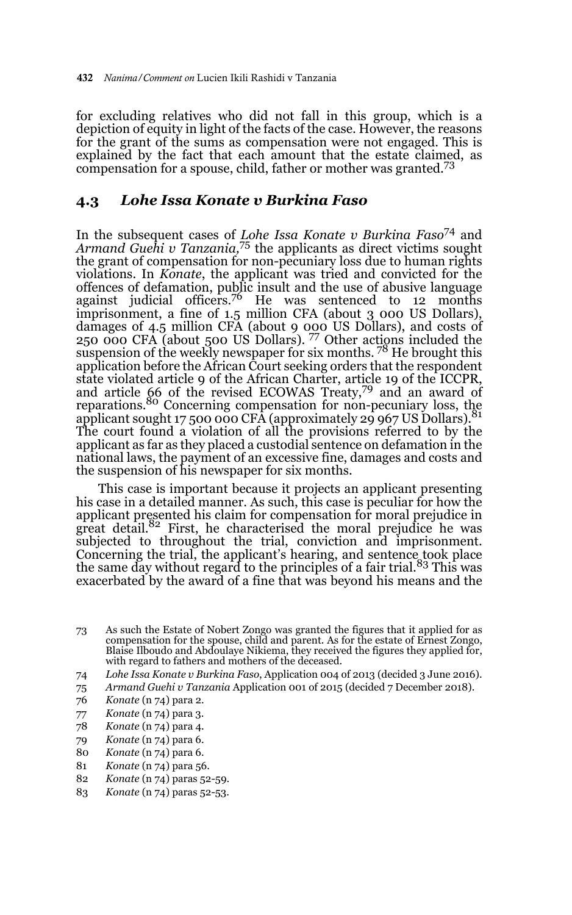for excluding relatives who did not fall in this group, which is a depiction of equity in light of the facts of the case. However, the reasons for the grant of the sums as compensation were not engaged. This is explained by the fact that each amount that the estate claimed, as compensation for a spouse, child, father or mother was granted.<sup>73</sup>

#### **4.3** *Lohe Issa Konate v Burkina Faso*

In the subsequent cases of *Lohe Issa Konate v Burkina Faso*74 and *Armand Guehi v Tanzania,*75 the applicants as direct victims sought the grant of compensation for non-pecuniary loss due to human rights violations. In *Konate*, the applicant was tried and convicted for the offences of defamation, public insult and the use of abusive language against judicial officers.<sup>76</sup> He was sentenced to  $12$  months imprisonment, a fine of 1.5 million CFA (about 3 000 US Dollars), damages of 4.5 million CFA (about 9 000 US Dollars), and costs of 250 000 CFA (about 500 US Dollars). 77 Other actions included the suspension of the weekly newspaper for six months.<sup>78</sup> He brought this application before the African Court seeking orders that the respondent state violated article 9 of the African Charter, article 19 of the ICCPR, and article 66 of the revised ECOWAS Treaty,<sup>79</sup> and an award of reparations.<sup>80</sup> Concerning compensation for non-pecuniary loss, the applicant sought 17 500 000 CFA (approximately 29 967 US Dollars).<sup>81</sup> The court found a violation of all the provisions referred to by the applicant as far as they placed a custodial sentence on defamation in the national laws, the payment of an excessive fine, damages and costs and the suspension of his newspaper for six months.

This case is important because it projects an applicant presenting his case in a detailed manner. As such, this case is peculiar for how the applicant presented his claim for compensation for moral prejudice in great detail.<sup>82</sup> First, he characterised the moral prejudice he was subjected to throughout the trial, conviction and imprisonment. Concerning the trial, the applicant's hearing, and sentence took place<br>the same day without regard to the principles of a fair trial.<sup>83</sup> This was exacerbated by the award of a fine that was beyond his means and the

- 73 As such the Estate of Nobert Zongo was granted the figures that it applied for as compensation for the spouse, child and parent. As for the estate of Ernest Zongo, Blaise Ilboudo and Abdoulaye Nikiema, they received the figures they applied for, with regard to fathers and mothers of the deceased.
- 74 *Lohe Issa Konate v Burkina Faso*, Application 004 of 2013 (decided 3 June 2016).
- 75 *Armand Guehi v Tanzania* Application 001 of 2015 (decided 7 December 2018).
- 76 *Konate* (n 74) para 2.
- 77 *Konate* (n 74) para 3.
- 78 *Konate* (n 74) para 4.
- 79 *Konate* (n 74) para 6.
- 80 *Konate* (n 74) para 6.
- 81 *Konate* (n 74) para 56.
- 82 *Konate* (n 74) paras 52-59.
- 83 *Konate* (n 74) paras 52-53.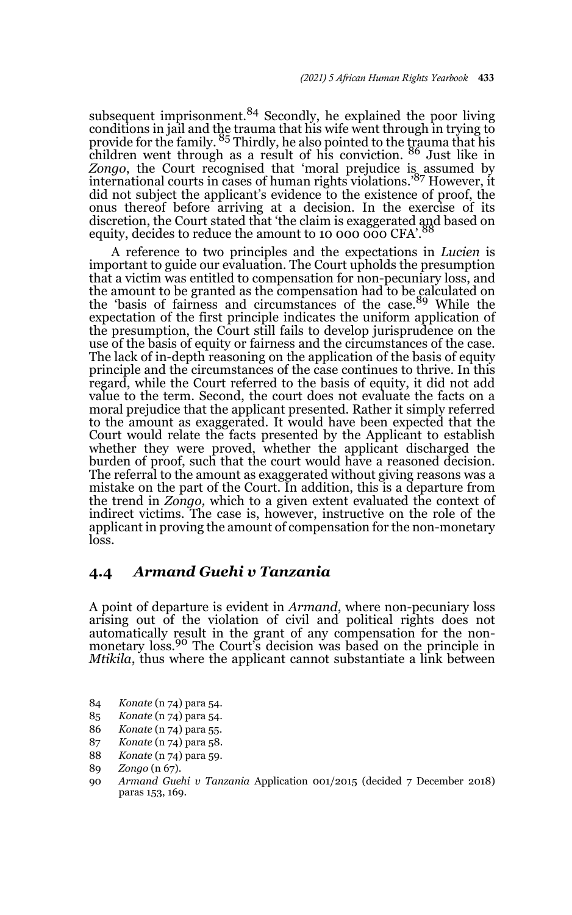subsequent imprisonment. $84$  Secondly, he explained the poor living conditions in jail and the trauma that his wife went through in trying to<br>provide for the family. <sup>85</sup> Thirdly, he also pointed to the trauma that his children went through as a result of his conviction. <sup>86</sup> Just like in *Zongo*, the Court recognised that 'moral prejudice is assumed by international courts in cases of human rights violations.'87 However, it did not subject the applicant's evidence to the existence of proof, the onus thereof before arriving at a decision. In the exercise of its discretion, the Court stated that 'the claim is exaggerated and based on equity, decides to reduce the amount to 10 000 000 CFA'.

A reference to two principles and the expectations in *Lucien* is important to guide our evaluation. The Court upholds the presumption that a victim was entitled to compensation for non-pecuniary loss, and the amount to be granted as the compensation had to be calculated on the 'basis of fairness and circumstances of the case.89 While the expectation of the first principle indicates the uniform application of the presumption, the Court still fails to develop jurisprudence on the use of the basis of equity or fairness and the circumstances of the case. The lack of in-depth reasoning on the application of the basis of equity principle and the circumstances of the case continues to thrive. In this regard, while the Court referred to the basis of equity, it did not add value to the term. Second, the court does not evaluate the facts on a moral prejudice that the applicant presented. Rather it simply referred to the amount as exaggerated. It would have been expected that the Court would relate the facts presented by the Applicant to establish whether they were proved, whether the applicant discharged the burden of proof, such that the court would have a reasoned decision. The referral to the amount as exaggerated without giving reasons was a mistake on the part of the Court. In addition, this is a departure from the trend in *Zongo,* which to a given extent evaluated the context of indirect victims. The case is, however, instructive on the role of the applicant in proving the amount of compensation for the non-monetary loss.

#### **4.4** *Armand Guehi v Tanzania*

A point of departure is evident in *Armand*, where non-pecuniary loss arising out of the violation of civil and political rights does not automatically result in the grant of any compensation for the non-monetary loss.90 The Court's decision was based on the principle in *Mtikila*, thus where the applicant cannot substantiate a link between

- 84 *Konate* (n 74) para 54.
- 85 *Konate* (n 74) para 54.
- 86 *Konate* (n 74) para 55.
- 87 *Konate* (n 74) para 58.
- 88 *Konate* (n 74) para 59.
- 89 *Zongo* (n 67).
- 90 *Armand Guehi v Tanzania* Application 001/2015 (decided 7 December 2018) paras 153, 169.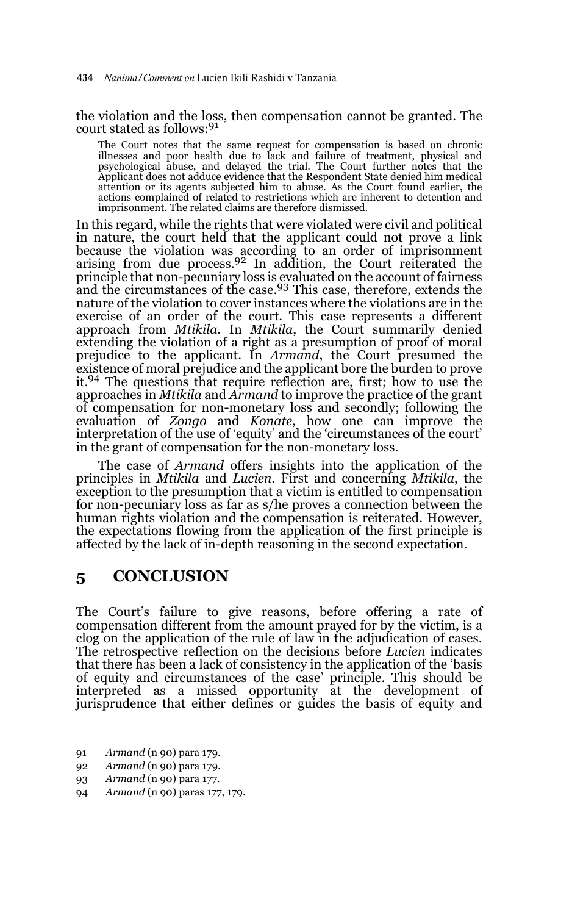the violation and the loss, then compensation cannot be granted. The court stated as follows:<sup>91</sup>

The Court notes that the same request for compensation is based on chronic illnesses and poor health due to lack and failure of treatment, physical and<br>psychological abuse, and delayed the trial. The Court further notes that the<br>Applicant does not adduce evidence that the Respondent State denied attention or its agents subjected him to abuse. As the Court found earlier, the actions complained of related to restrictions which are inherent to detention and imprisonment. The related claims are therefore dismissed.

In this regard, while the rights that were violated were civil and political in nature, the court held that the applicant could not prove a link because the violation was according to an order of imprisonment arising from due process.<sup>92</sup> In addition, the Court reiterated the principle that non-pecuniary loss is evaluated on the account of fairness<br>and the circumstances of the case.<sup>93</sup> This case, therefore, extends the nature of the violation to cover instances where the violations are in the exercise of an order of the court. This case represents a different approach from *Mtikila*. In *Mtikila*, the Court summarily denied extending the violation of a right as a presumption of proof of moral prejudice to the applicant. In *Armand*, the Court presumed the existence of moral prejudice and the applicant bore the burden to prove it.94 The questions that require reflection are, first; how to use the approaches in *Mtikila* and *Armand* to improve the practice of the grant of compensation for non-monetary loss and secondly; following the evaluation of *Zongo* and *Konate*, how one can improve the interpretation of the use of 'equity' and the 'circumstances of the court' in the grant of compensation for the non-monetary loss.

The case of *Armand* offers insights into the application of the principles in *Mtikila* and *Lucien.* First and concerning *Mtikila*, the exception to the presumption that a victim is entitled to compensation for non-pecuniary loss as far as s/he proves a connection between the human rights violation and the compensation is reiterated. However, the expectations flowing from the application of the first principle is affected by the lack of in-depth reasoning in the second expectation.

#### **5 CONCLUSION**

The Court's failure to give reasons, before offering a rate of compensation different from the amount prayed for by the victim, is a clog on the application of the rule of law in the adjudication of cases. The retrospective reflection on the decisions before *Lucien* indicates that there has been a lack of consistency in the application of the 'basis of equity and circumstances of the case' principle. This should be interpreted as a missed opportunity at the development of jurisprudence that either defines or guides the basis of equity and

- 91 *Armand* (n 90) para 179.
- 92 *Armand* (n 90) para 179.
- 93 *Armand* (n 90) para 177.
- 94 *Armand* (n 90) paras 177, 179.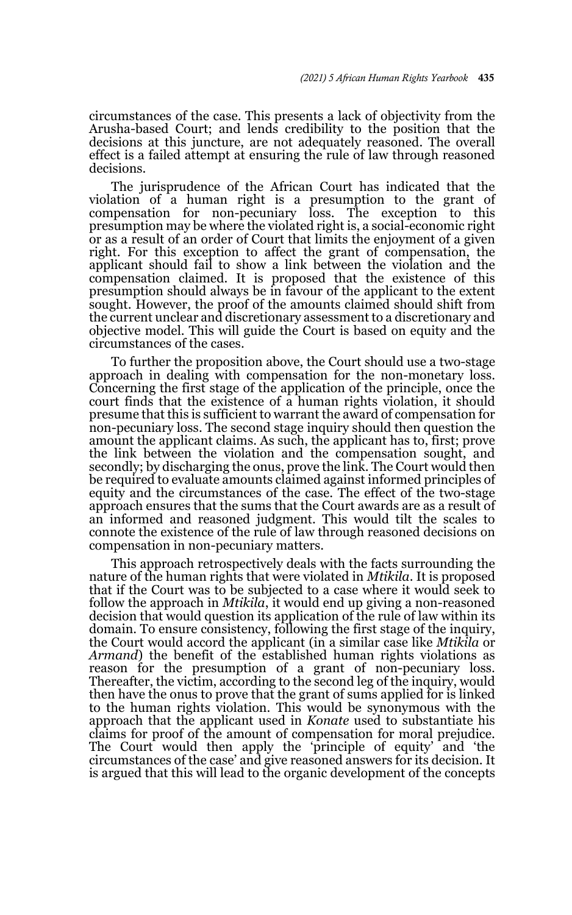circumstances of the case. This presents a lack of objectivity from the Arusha-based Court; and lends credibility to the position that the decisions at this juncture, are not adequately reasoned. The overall effect is a failed attempt at ensuring the rule of law through reasoned decisions.

The jurisprudence of the African Court has indicated that the violation of a human right is a presumption to the grant of compensation for non-pecuniary loss. The exception to this presumption may be where the violated right is, a social-economic right or as a result of an order of Court that limits the enjoyment of a given right. For this exception to affect the grant of compensation, the applicant should fail to show a link between the violation and the compensation claimed. It is proposed that the existence of this presumption should always be in favour of the applicant to the extent sought. However, the proof of the amounts claimed should shift from the current unclear and discretionary assessment to a discretionary and objective model. This will guide the Court is based on equity and the circumstances of the cases.

To further the proposition above, the Court should use a two-stage approach in dealing with compensation for the non-monetary loss. Concerning the first stage of the application of the principle, once the court finds that the existence of a human rights violation, it should presume that this is sufficient to warrant the award of compensation for non-pecuniary loss. The second stage inquiry should then question the amount the applicant claims. As such, the applicant has to, first; prove the link between the violation and the compensation sought, and secondly; by discharging the onus, prove the link. The Court would then be required to evaluate amounts claimed against informed principles of equity and the circumstances of the case. The effect of the two-stage approach ensures that the sums that the Court awards are as a result of an informed and reasoned judgment. This would tilt the scales to connote the existence of the rule of law through reasoned decisions on compensation in non-pecuniary matters.

This approach retrospectively deals with the facts surrounding the nature of the human rights that were violated in *Mtikila*. It is proposed that if the Court was to be subjected to a case where it would seek to follow the approach in *Mtikila*, it would end up giving a non-reasoned decision that would question its application of the rule of law within its domain. To ensure consistency, following the first stage of the inquiry, the Court would accord the applicant (in a similar case like *Mtikila* or *Armand*) the benefit of the established human rights violations as reason for the presumption of a grant of non-pecuniary loss. Thereafter, the victim, according to the second leg of the inquiry, would then have the onus to prove that the grant of sums applied for is linked to the human rights violation. This would be synonymous with the approach that the applicant used in *Konate* used to substantiate his claims for proof of the amount of compensation for moral prejudice. The Court would then apply the 'principle of equity' and 'the circumstances of the case' and give reasoned answers for its decision. It is argued that this will lead to the organic development of the concepts